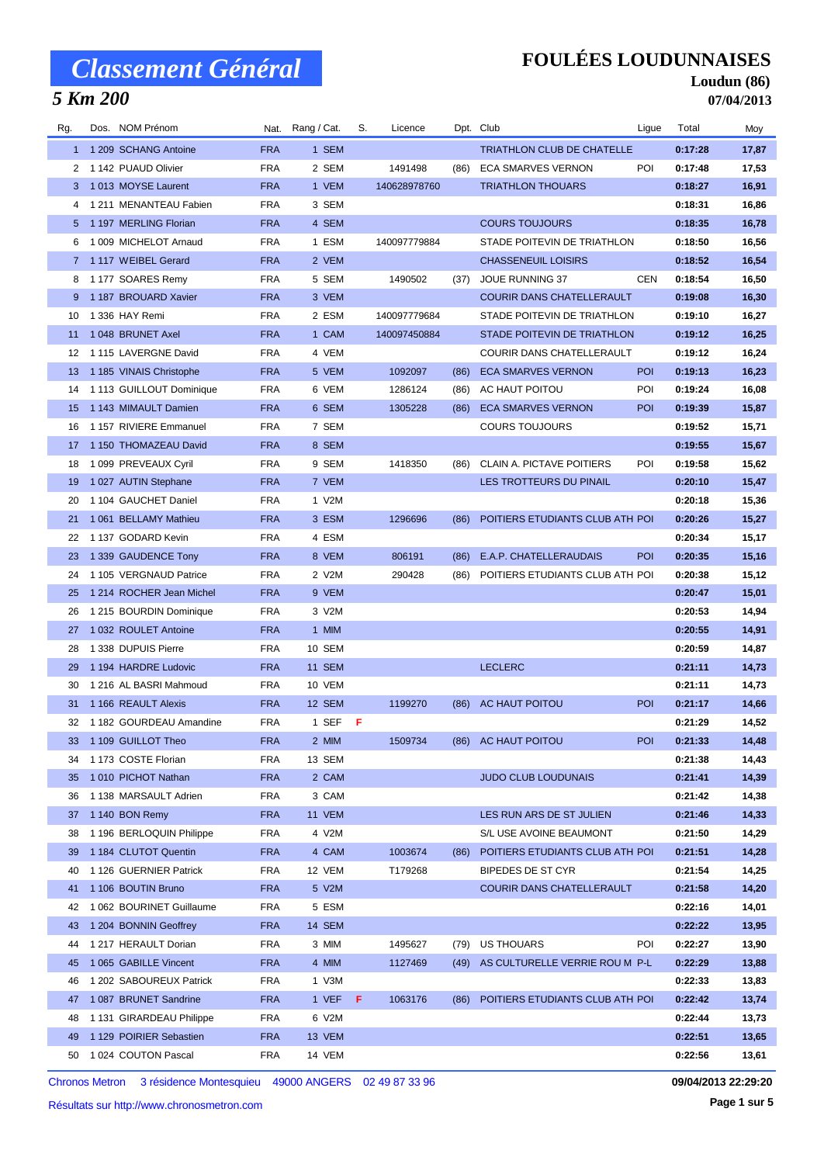## *5 Km 200*

### **FOULÉES LOUDUNNAISES**

### **Loudun (86) 07/04/2013**

| Rg.      | Dos. NOM Prénom            |            | Nat. Rang / Cat. | S. | Licence      |      | Dpt. Club                           | Ligue      | Total   | Moy   |
|----------|----------------------------|------------|------------------|----|--------------|------|-------------------------------------|------------|---------|-------|
|          | 1 1 209 SCHANG Antoine     | <b>FRA</b> | 1 SEM            |    |              |      | <b>TRIATHLON CLUB DE CHATELLE</b>   |            | 0:17:28 | 17,87 |
| 2        | 1 142 PUAUD Olivier        | <b>FRA</b> | 2 SEM            |    | 1491498      | (86) | ECA SMARVES VERNON                  | POI        | 0:17:48 | 17,53 |
|          | 3 1013 MOYSE Laurent       | <b>FRA</b> | 1 VEM            |    | 140628978760 |      | <b>TRIATHLON THOUARS</b>            |            | 0:18:27 | 16,91 |
| 4        | 1 211 MENANTEAU Fabien     | <b>FRA</b> | 3 SEM            |    |              |      |                                     |            | 0:18:31 | 16,86 |
|          | 5 1197 MERLING Florian     | <b>FRA</b> | 4 SEM            |    |              |      | <b>COURS TOUJOURS</b>               |            | 0:18:35 | 16,78 |
| 6        | 1 009 MICHELOT Arnaud      | <b>FRA</b> | 1 ESM            |    | 140097779884 |      | STADE POITEVIN DE TRIATHLON         |            | 0:18:50 | 16,56 |
|          | 7 1117 WEIBEL Gerard       | <b>FRA</b> | 2 VEM            |    |              |      | <b>CHASSENEUIL LOISIRS</b>          |            | 0:18:52 | 16,54 |
| 8        | 1177 SOARES Remy           | <b>FRA</b> | 5 SEM            |    | 1490502      | (37) | <b>JOUE RUNNING 37</b>              | <b>CEN</b> | 0:18:54 | 16,50 |
| 9        | 1 187 BROUARD Xavier       | <b>FRA</b> | 3 VEM            |    |              |      | <b>COURIR DANS CHATELLERAULT</b>    |            | 0:19:08 | 16,30 |
| 10       | 1 336 HAY Remi             | <b>FRA</b> | 2 ESM            |    | 140097779684 |      | STADE POITEVIN DE TRIATHLON         |            | 0:19:10 | 16,27 |
| 11       | 1048 BRUNET Axel           | <b>FRA</b> | 1 CAM            |    | 140097450884 |      | STADE POITEVIN DE TRIATHLON         |            | 0:19:12 | 16,25 |
| 12       | 1 115 LAVERGNE David       | <b>FRA</b> | 4 VEM            |    |              |      | COURIR DANS CHATELLERAULT           |            | 0:19:12 | 16,24 |
| 13       | 1 185 VINAIS Christophe    | <b>FRA</b> | 5 VEM            |    | 1092097      | (86) | <b>ECA SMARVES VERNON</b>           | <b>POI</b> | 0:19:13 | 16,23 |
| 14       | 1 113 GUILLOUT Dominique   | <b>FRA</b> | 6 VEM            |    | 1286124      | (86) | AC HAUT POITOU                      | POI        | 0:19:24 | 16,08 |
| 15       | 1 143 MIMAULT Damien       | <b>FRA</b> | 6 SEM            |    | 1305228      | (86) | <b>ECA SMARVES VERNON</b>           | POI        | 0:19:39 | 15,87 |
| 16       | 1 157 RIVIERE Emmanuel     | <b>FRA</b> | 7 SEM            |    |              |      | COURS TOUJOURS                      |            | 0:19:52 | 15,71 |
| 17       | 1 150 THOMAZEAU David      | <b>FRA</b> | 8 SEM            |    |              |      |                                     |            | 0:19:55 | 15,67 |
| 18       | 1 099 PREVEAUX Cyril       | <b>FRA</b> | 9 SEM            |    | 1418350      | (86) | CLAIN A. PICTAVE POITIERS           | POI        | 0:19:58 | 15,62 |
| 19       | 1 027 AUTIN Stephane       | <b>FRA</b> | 7 VEM            |    |              |      | LES TROTTEURS DU PINAIL             |            | 0:20:10 | 15,47 |
| 20       | 1 104 GAUCHET Daniel       | <b>FRA</b> | 1 V2M            |    |              |      |                                     |            | 0:20:18 | 15,36 |
| 21       | 1 061 BELLAMY Mathieu      | <b>FRA</b> | 3 ESM            |    | 1296696      | (86) | POITIERS ETUDIANTS CLUB ATH POI     |            | 0:20:26 | 15,27 |
| 22       | 1 137 GODARD Kevin         | <b>FRA</b> | 4 ESM            |    |              |      |                                     |            | 0:20:34 | 15,17 |
| 23       | 1 339 GAUDENCE Tony        | <b>FRA</b> | 8 VEM            |    | 806191       | (86) | E.A.P. CHATELLERAUDAIS              | <b>POI</b> | 0:20:35 | 15,16 |
| 24       | 1 105 VERGNAUD Patrice     | <b>FRA</b> | 2 V2M            |    | 290428       | (86) | POITIERS ETUDIANTS CLUB ATH POI     |            | 0:20:38 | 15,12 |
| 25       | 1 214 ROCHER Jean Michel   | <b>FRA</b> | 9 VEM            |    |              |      |                                     |            | 0:20:47 | 15,01 |
| 26       | 1 215 BOURDIN Dominique    | <b>FRA</b> | 3 V2M            |    |              |      |                                     |            | 0:20:53 | 14,94 |
| 27       | 1 032 ROULET Antoine       | <b>FRA</b> | 1 MIM            |    |              |      |                                     |            | 0:20:55 | 14,91 |
| 28       | 1 338 DUPUIS Pierre        | <b>FRA</b> | 10 SEM           |    |              |      |                                     |            | 0:20:59 | 14,87 |
| 29       | 1 194 HARDRE Ludovic       | <b>FRA</b> | <b>11 SEM</b>    |    |              |      | <b>LECLERC</b>                      |            | 0:21:11 | 14,73 |
| 30       | 1 216 AL BASRI Mahmoud     | <b>FRA</b> | 10 VEM           |    |              |      |                                     |            | 0:21:11 | 14,73 |
| 31       | 1 166 REAULT Alexis        | <b>FRA</b> | 12 SEM           |    | 1199270      |      | (86) AC HAUT POITOU                 | <b>POI</b> | 0:21:17 | 14,66 |
|          | 32 1 182 GOURDEAU Amandine | <b>FRA</b> | 1 SEF $F$        |    |              |      |                                     |            | 0:21:29 | 14,52 |
|          | 33 1 109 GUILLOT Theo      | <b>FRA</b> | 2 MIM            |    | 1509734      |      | (86) AC HAUT POITOU                 | <b>POI</b> | 0:21:33 | 14,48 |
| 34       | 1 173 COSTE Florian        | <b>FRA</b> | 13 SEM           |    |              |      |                                     |            | 0:21:38 | 14,43 |
| 35       | 1010 PICHOT Nathan         | <b>FRA</b> | 2 CAM            |    |              |      | <b>JUDO CLUB LOUDUNAIS</b>          |            | 0:21:41 | 14,39 |
| 36       | 1 138 MARSAULT Adrien      | FRA        | 3 CAM            |    |              |      |                                     |            | 0:21:42 | 14,38 |
| 37       | 1 140 BON Remy             | <b>FRA</b> | 11 VEM           |    |              |      | LES RUN ARS DE ST JULIEN            |            | 0:21:46 | 14,33 |
| 38       | 1 196 BERLOQUIN Philippe   | <b>FRA</b> | 4 V2M            |    |              |      | S/L USE AVOINE BEAUMONT             |            | 0:21:50 | 14,29 |
| 39       | 1 184 CLUTOT Quentin       | <b>FRA</b> | 4 CAM            |    | 1003674      | (86) | POITIERS ETUDIANTS CLUB ATH POI     |            | 0:21:51 | 14,28 |
| 40       | 1 126 GUERNIER Patrick     | FRA        | 12 VEM           |    | T179268      |      | <b>BIPEDES DE ST CYR</b>            |            | 0:21:54 | 14,25 |
| 41       | 1 106 BOUTIN Bruno         | <b>FRA</b> | 5 V2M            |    |              |      | COURIR DANS CHATELLERAULT           |            | 0:21:58 | 14,20 |
| 42       | 1 062 BOURINET Guillaume   | FRA        | 5 ESM            |    |              |      |                                     |            | 0:22:16 | 14,01 |
| 43       | 1 204 BONNIN Geoffrey      | <b>FRA</b> | 14 SEM           |    |              |      |                                     |            | 0:22:22 | 13,95 |
| 44       | 1 217 HERAULT Dorian       | FRA        | 3 MIM            |    | 1495627      |      | (79) US THOUARS                     | POI        | 0:22:27 | 13,90 |
| 45       | 1 065 GABILLE Vincent      | <b>FRA</b> | 4 MIM            |    | 1127469      |      | (49) AS CULTURELLE VERRIE ROU M P-L |            | 0:22:29 | 13,88 |
| 46       | 1 202 SABOUREUX Patrick    | FRA        | 1 V3M            |    |              |      |                                     |            | 0:22:33 | 13,83 |
| 47       | 1 087 BRUNET Sandrine      | <b>FRA</b> | 1 VEF            | F. | 1063176      | (86) | POITIERS ETUDIANTS CLUB ATH POI     |            | 0:22:42 | 13,74 |
|          | 1 131 GIRARDEAU Philippe   | FRA        | 6 V2M            |    |              |      |                                     |            | 0:22:44 | 13,73 |
| 48<br>49 | 1 129 POIRIER Sebastien    | <b>FRA</b> | 13 VEM           |    |              |      |                                     |            | 0:22:51 | 13,65 |
|          | 1024 COUTON Pascal         | <b>FRA</b> | 14 VEM           |    |              |      |                                     |            | 0:22:56 |       |
| 50       |                            |            |                  |    |              |      |                                     |            |         | 13,61 |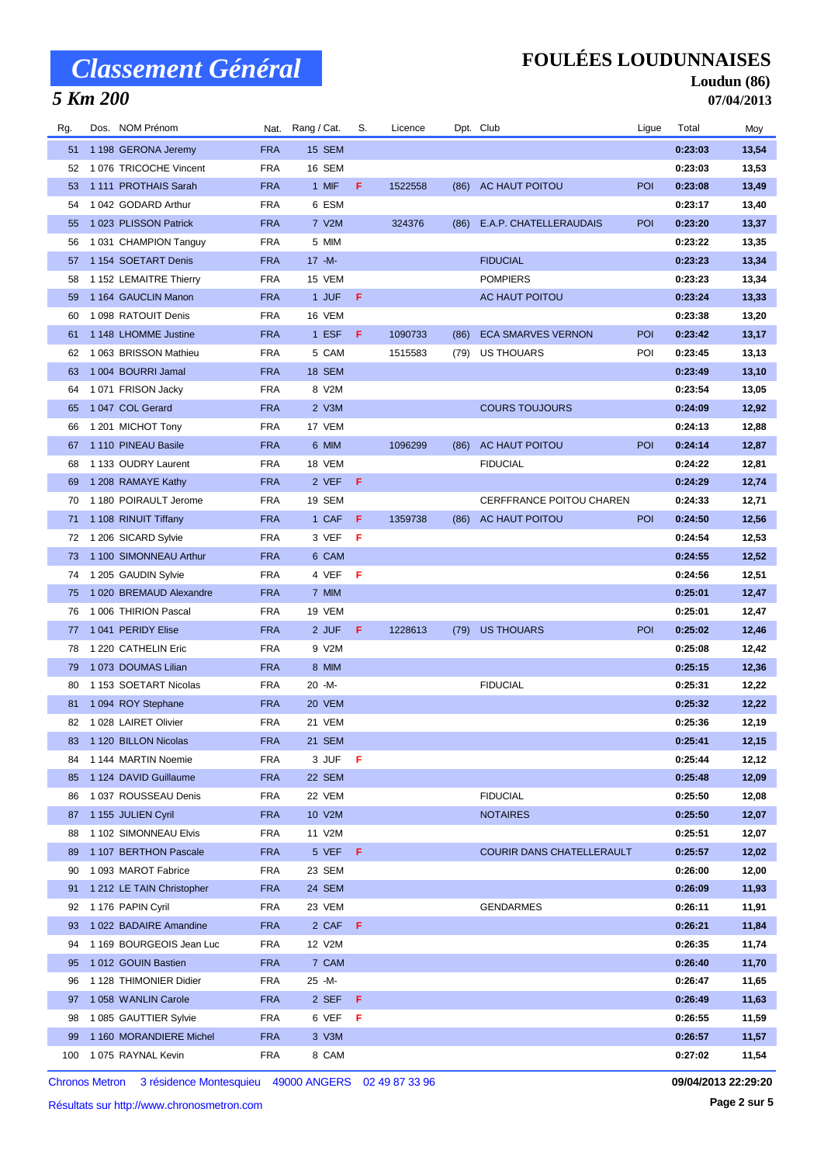## *5 Km 200*

### **FOULÉES LOUDUNNAISES**

### **Loudun (86) 07/04/2013**

| Rg. | Dos. NOM Prénom           |                          | Nat. Rang / Cat. |         | S. | Licence |      | Dpt. Club                 | Ligue      | Total   | Moy   |
|-----|---------------------------|--------------------------|------------------|---------|----|---------|------|---------------------------|------------|---------|-------|
| 51  | 1 198 GERONA Jeremy       | <b>FRA</b>               | 15 SEM           |         |    |         |      |                           |            | 0:23:03 | 13,54 |
| 52  | 1076 TRICOCHE Vincent     | <b>FRA</b>               | 16 SEM           |         |    |         |      |                           |            | 0:23:03 | 13,53 |
| 53  | 1111 PROTHAIS Sarah       | <b>FRA</b>               | 1 MIF            |         | F. | 1522558 |      | (86) AC HAUT POITOU       | <b>POI</b> | 0:23:08 | 13,49 |
| 54  | 1042 GODARD Arthur        | <b>FRA</b>               | 6 ESM            |         |    |         |      |                           |            | 0:23:17 | 13,40 |
| 55  | 1023 PLISSON Patrick      | <b>FRA</b>               | 7 V2M            |         |    | 324376  | (86) | E.A.P. CHATELLERAUDAIS    | POI        | 0:23:20 | 13,37 |
| 56  | 1031 CHAMPION Tanguy      | <b>FRA</b>               | 5 MIM            |         |    |         |      |                           |            | 0:23:22 | 13,35 |
| 57  | 1 154 SOETART Denis       | <b>FRA</b>               | $17 - M -$       |         |    |         |      | <b>FIDUCIAL</b>           |            | 0:23:23 | 13,34 |
| 58  | 1 152 LEMAITRE Thierry    | <b>FRA</b>               | 15 VEM           |         |    |         |      | <b>POMPIERS</b>           |            | 0:23:23 | 13,34 |
| 59  | 1 164 GAUCLIN Manon       | <b>FRA</b>               | 1 JUF            | F       |    |         |      | AC HAUT POITOU            |            | 0:23:24 | 13,33 |
| 60  | 1 098 RATOUIT Denis       | <b>FRA</b>               | 16 VEM           |         |    |         |      |                           |            | 0:23:38 | 13,20 |
| 61  | 1 148 LHOMME Justine      | <b>FRA</b>               | 1 ESF            | F.      |    | 1090733 | (86) | <b>ECA SMARVES VERNON</b> | <b>POI</b> | 0:23:42 | 13,17 |
| 62  | 1 063 BRISSON Mathieu     | <b>FRA</b>               | 5 CAM            |         |    | 1515583 | (79) | US THOUARS                | POI        | 0:23:45 | 13,13 |
| 63  | 1 004 BOURRI Jamal        | <b>FRA</b>               | 18 SEM           |         |    |         |      |                           |            | 0:23:49 | 13,10 |
| 64  | 1071 FRISON Jacky         | <b>FRA</b>               | 8 V2M            |         |    |         |      |                           |            | 0:23:54 | 13,05 |
| 65  | 1047 COL Gerard           | <b>FRA</b>               | 2 V3M            |         |    |         |      | <b>COURS TOUJOURS</b>     |            | 0:24:09 | 12,92 |
| 66  | 1 201 MICHOT Tony         | <b>FRA</b>               | 17 VEM           |         |    |         |      |                           |            | 0:24:13 | 12,88 |
| 67  | 1 110 PINEAU Basile       | <b>FRA</b>               | 6 MIM            |         |    | 1096299 | (86) | AC HAUT POITOU            | <b>POI</b> | 0:24:14 | 12,87 |
| 68  | 1 133 OUDRY Laurent       | <b>FRA</b>               | 18 VEM           |         |    |         |      | <b>FIDUCIAL</b>           |            | 0:24:22 | 12,81 |
| 69  | 1 208 RAMAYE Kathy        | <b>FRA</b>               | 2 VEF            | F       |    |         |      |                           |            | 0:24:29 | 12,74 |
| 70  | 1 180 POIRAULT Jerome     | <b>FRA</b>               | 19 SEM           |         |    |         |      | CERFFRANCE POITOU CHAREN  |            | 0:24:33 | 12,71 |
| 71  | 1 108 RINUIT Tiffany      | <b>FRA</b>               | 1 CAF            | F.      |    | 1359738 | (86) | AC HAUT POITOU            | <b>POI</b> | 0:24:50 | 12,56 |
| 72  | 1 206 SICARD Sylvie       | <b>FRA</b>               | 3 VEF            | - F     |    |         |      |                           |            | 0:24:54 | 12,53 |
| 73  | 1 100 SIMONNEAU Arthur    | <b>FRA</b>               | 6 CAM            |         |    |         |      |                           |            | 0:24:55 | 12,52 |
| 74  | 1 205 GAUDIN Sylvie       | <b>FRA</b>               | 4 VEF            | F       |    |         |      |                           |            | 0:24:56 | 12,51 |
| 75  | 1 020 BREMAUD Alexandre   | <b>FRA</b>               | 7 MIM            |         |    |         |      |                           |            | 0:25:01 | 12,47 |
| 76  | 1 006 THIRION Pascal      | <b>FRA</b>               | 19 VEM           |         |    |         |      |                           |            | 0:25:01 | 12,47 |
| 77  | 1041 PERIDY Elise         | <b>FRA</b>               | 2 JUF            | F       |    | 1228613 | (79) | <b>US THOUARS</b>         | POI        | 0:25:02 | 12,46 |
| 78  | 1 220 CATHELIN Eric       | <b>FRA</b>               | 9 V2M            |         |    |         |      |                           |            | 0:25:08 | 12,42 |
| 79  | 1073 DOUMAS Lilian        | <b>FRA</b>               | 8 MIM            |         |    |         |      |                           |            | 0:25:15 | 12,36 |
| 80  | 1 153 SOETART Nicolas     | <b>FRA</b>               | 20 -M-           |         |    |         |      | <b>FIDUCIAL</b>           |            | 0:25:31 |       |
|     |                           |                          | 20 VEM           |         |    |         |      |                           |            |         | 12,22 |
| 81  | 1094 ROY Stephane         | <b>FRA</b><br><b>FRA</b> | 21 VEM           |         |    |         |      |                           |            | 0:25:32 | 12,22 |
| 82  | 1 028 LAIRET Olivier      |                          |                  |         |    |         |      |                           |            | 0:25:36 | 12,19 |
|     | 83 1 120 BILLON Nicolas   | <b>FRA</b>               | 21 SEM           |         |    |         |      |                           |            | 0:25:41 | 12,15 |
| 84  | 1 144 MARTIN Noemie       | <b>FRA</b>               | 3 JUF            | F       |    |         |      |                           |            | 0:25:44 | 12,12 |
| 85  | 1 124 DAVID Guillaume     | <b>FRA</b>               | 22 SEM           |         |    |         |      |                           |            | 0:25:48 | 12,09 |
| 86  | 1 037 ROUSSEAU Denis      | <b>FRA</b>               | 22 VEM           |         |    |         |      | <b>FIDUCIAL</b>           |            | 0:25:50 | 12,08 |
| 87  | 1 155 JULIEN Cyril        | <b>FRA</b>               | 10 V2M           |         |    |         |      | <b>NOTAIRES</b>           |            | 0:25:50 | 12,07 |
| 88  | 1 102 SIMONNEAU Elvis     | <b>FRA</b>               | 11 V2M           |         |    |         |      |                           |            | 0:25:51 | 12,07 |
| 89  | 1 107 BERTHON Pascale     | <b>FRA</b>               |                  | 5 VEF F |    |         |      | COURIR DANS CHATELLERAULT |            | 0:25:57 | 12,02 |
| 90  | 1093 MAROT Fabrice        | <b>FRA</b>               | 23 SEM           |         |    |         |      |                           |            | 0:26:00 | 12,00 |
| 91  | 1 212 LE TAIN Christopher | <b>FRA</b>               | 24 SEM           |         |    |         |      |                           |            | 0:26:09 | 11,93 |
| 92  | 1 176 PAPIN Cyril         | <b>FRA</b>               | 23 VEM           |         |    |         |      | <b>GENDARMES</b>          |            | 0:26:11 | 11,91 |
| 93  | 1 022 BADAIRE Amandine    | <b>FRA</b>               |                  | 2 CAF F |    |         |      |                           |            | 0:26:21 | 11,84 |
| 94  | 1 169 BOURGEOIS Jean Luc  | <b>FRA</b>               | 12 V2M           |         |    |         |      |                           |            | 0:26:35 | 11,74 |
| 95  | 1012 GOUIN Bastien        | <b>FRA</b>               | 7 CAM            |         |    |         |      |                           |            | 0:26:40 | 11,70 |
| 96  | 1 128 THIMONIER Didier    | <b>FRA</b>               | 25 -M-           |         |    |         |      |                           |            | 0:26:47 | 11,65 |
| 97  | 1058 WANLIN Carole        | <b>FRA</b>               | 2 SEF            | F       |    |         |      |                           |            | 0:26:49 | 11,63 |
| 98  | 1085 GAUTTIER Sylvie      | <b>FRA</b>               | 6 VEF            | - F     |    |         |      |                           |            | 0:26:55 | 11,59 |
| 99  | 1 160 MORANDIERE Michel   | <b>FRA</b>               | 3 V3M            |         |    |         |      |                           |            | 0:26:57 | 11,57 |
| 100 | 1075 RAYNAL Kevin         | <b>FRA</b>               | 8 CAM            |         |    |         |      |                           |            | 0:27:02 | 11,54 |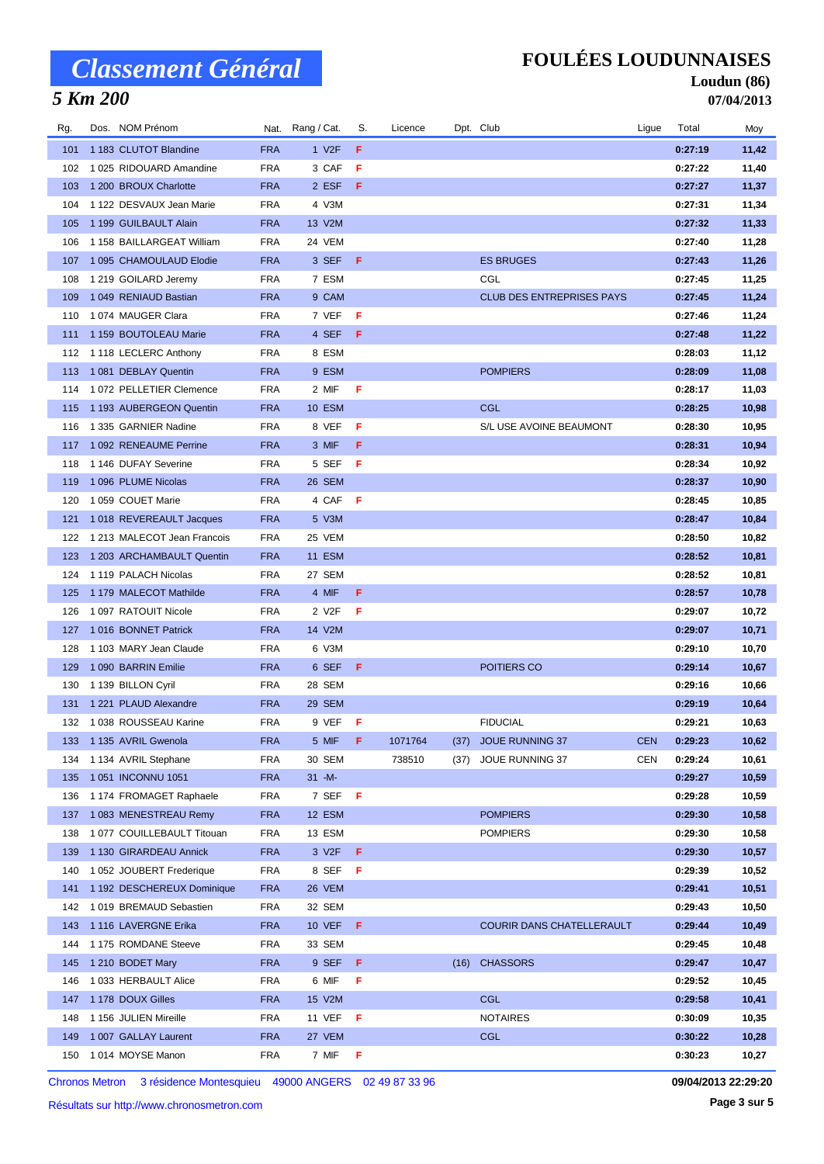## *5 Km 200*

### **FOULÉES LOUDUNNAISES**

### **Loudun (86) 07/04/2013**

| Rg. | Dos. NOM Prénom             |            | Nat. Rang / Cat.   | S.  | Licence |      | Dpt. Club                        | Ligue      | Total   | Moy   |
|-----|-----------------------------|------------|--------------------|-----|---------|------|----------------------------------|------------|---------|-------|
| 101 | 1 183 CLUTOT Blandine       | <b>FRA</b> | 1 V <sub>2</sub> F | F   |         |      |                                  |            | 0:27:19 | 11,42 |
| 102 | 1025 RIDOUARD Amandine      | <b>FRA</b> | 3 CAF              | F   |         |      |                                  |            | 0:27:22 | 11,40 |
| 103 | 1 200 BROUX Charlotte       | <b>FRA</b> | 2 ESF              | F   |         |      |                                  |            | 0:27:27 | 11,37 |
| 104 | 1 122 DESVAUX Jean Marie    | <b>FRA</b> | 4 V3M              |     |         |      |                                  |            | 0:27:31 | 11,34 |
| 105 | 1 199 GUILBAULT Alain       | <b>FRA</b> | 13 V2M             |     |         |      |                                  |            | 0:27:32 | 11,33 |
| 106 | 1 158 BAILLARGEAT William   | <b>FRA</b> | 24 VEM             |     |         |      |                                  |            | 0:27:40 | 11,28 |
| 107 | 1 095 CHAMOULAUD Elodie     | <b>FRA</b> | 3 SEF              | -F. |         |      | <b>ES BRUGES</b>                 |            | 0:27:43 | 11,26 |
| 108 | 1 219 GOILARD Jeremy        | <b>FRA</b> | 7 ESM              |     |         |      | CGL                              |            | 0:27:45 | 11,25 |
| 109 | 1 049 RENIAUD Bastian       | <b>FRA</b> | 9 CAM              |     |         |      | <b>CLUB DES ENTREPRISES PAYS</b> |            | 0:27:45 | 11,24 |
| 110 | 1074 MAUGER Clara           | <b>FRA</b> | 7 VEF              | -F  |         |      |                                  |            | 0:27:46 | 11,24 |
| 111 | 1 159 BOUTOLEAU Marie       | <b>FRA</b> | 4 SEF              | F   |         |      |                                  |            | 0:27:48 | 11,22 |
| 112 | 1 118 LECLERC Anthony       | <b>FRA</b> | 8 ESM              |     |         |      |                                  |            | 0:28:03 | 11,12 |
| 113 | 1 081 DEBLAY Quentin        | <b>FRA</b> | 9 ESM              |     |         |      | <b>POMPIERS</b>                  |            | 0:28:09 | 11,08 |
| 114 | 1072 PELLETIER Clemence     | <b>FRA</b> | 2 MIF              | F   |         |      |                                  |            | 0:28:17 | 11,03 |
| 115 | 1 193 AUBERGEON Quentin     | <b>FRA</b> | 10 ESM             |     |         |      | <b>CGL</b>                       |            | 0:28:25 | 10,98 |
| 116 | 1 335 GARNIER Nadine        | <b>FRA</b> | 8 VEF              | F   |         |      | S/L USE AVOINE BEAUMONT          |            | 0:28:30 | 10,95 |
| 117 | 1 092 RENEAUME Perrine      | <b>FRA</b> | 3 MIF              | F.  |         |      |                                  |            | 0:28:31 | 10,94 |
| 118 | 1 146 DUFAY Severine        | <b>FRA</b> | 5 SEF              | - F |         |      |                                  |            | 0:28:34 | 10,92 |
| 119 | 1 096 PLUME Nicolas         | <b>FRA</b> | 26 SEM             |     |         |      |                                  |            | 0:28:37 | 10,90 |
| 120 | 1 059 COUET Marie           | <b>FRA</b> | 4 CAF              | - F |         |      |                                  |            | 0:28:45 | 10,85 |
| 121 | 1018 REVEREAULT Jacques     | <b>FRA</b> | 5 V3M              |     |         |      |                                  |            | 0:28:47 | 10,84 |
| 122 | 1 213 MALECOT Jean Francois | <b>FRA</b> | 25 VEM             |     |         |      |                                  |            | 0:28:50 | 10,82 |
| 123 | 1 203 ARCHAMBAULT Quentin   | <b>FRA</b> | <b>11 ESM</b>      |     |         |      |                                  |            | 0:28:52 | 10,81 |
| 124 | 1 119 PALACH Nicolas        | <b>FRA</b> | 27 SEM             |     |         |      |                                  |            | 0:28:52 | 10,81 |
| 125 | 1 179 MALECOT Mathilde      | <b>FRA</b> | 4 MIF              | F   |         |      |                                  |            | 0:28:57 | 10,78 |
| 126 | 1 097 RATOUIT Nicole        | <b>FRA</b> | 2 V2F              | F   |         |      |                                  |            | 0:29:07 | 10,72 |
| 127 | 1016 BONNET Patrick         | <b>FRA</b> | 14 V2M             |     |         |      |                                  |            | 0:29:07 | 10,71 |
| 128 | 1 103 MARY Jean Claude      | <b>FRA</b> | 6 V3M              |     |         |      |                                  |            | 0:29:10 | 10,70 |
| 129 | 1090 BARRIN Emilie          | <b>FRA</b> | 6 SEF              | F   |         |      | POITIERS CO                      |            | 0:29:14 | 10,67 |
| 130 | 1 139 BILLON Cyril          | <b>FRA</b> | 28 SEM             |     |         |      |                                  |            | 0:29:16 | 10,66 |
| 131 | 1 221 PLAUD Alexandre       | <b>FRA</b> | 29 SEM             |     |         |      |                                  |            | 0:29:19 | 10,64 |
| 132 | 1038 ROUSSEAU Karine        | <b>FRA</b> | 9 VEF F            |     |         |      | <b>FIDUCIAL</b>                  |            | 0:29:21 | 10,63 |
|     | 133 1135 AVRIL Gwenola      | <b>FRA</b> | 5 MIF F            |     | 1071764 |      | (37) JOUE RUNNING 37             | <b>CEN</b> | 0:29:23 | 10,62 |
| 134 | 1 134 AVRIL Stephane        | <b>FRA</b> | 30 SEM             |     | 738510  | (37) | JOUE RUNNING 37                  | CEN        | 0:29:24 | 10,61 |
| 135 | 1051 INCONNU 1051           | <b>FRA</b> | $31 - M -$         |     |         |      |                                  |            | 0:29:27 | 10,59 |
| 136 | 1 174 FROMAGET Raphaele     | <b>FRA</b> | 7 SEF F            |     |         |      |                                  |            | 0:29:28 | 10,59 |
| 137 | 1083 MENESTREAU Remy        | <b>FRA</b> | 12 ESM             |     |         |      | <b>POMPIERS</b>                  |            | 0:29:30 | 10,58 |
| 138 | 1 077 COUILLEBAULT Titouan  | <b>FRA</b> | 13 ESM             |     |         |      | <b>POMPIERS</b>                  |            | 0:29:30 | 10,58 |
| 139 | 1 130 GIRARDEAU Annick      | <b>FRA</b> | 3 V <sub>2</sub> F | F   |         |      |                                  |            | 0:29:30 | 10,57 |
| 140 | 1 052 JOUBERT Frederique    | <b>FRA</b> | 8 SEF F            |     |         |      |                                  |            | 0:29:39 | 10,52 |
| 141 | 1 192 DESCHEREUX Dominique  | <b>FRA</b> | 26 VEM             |     |         |      |                                  |            | 0:29:41 | 10,51 |
| 142 | 1019 BREMAUD Sebastien      | <b>FRA</b> | 32 SEM             |     |         |      |                                  |            | 0:29:43 | 10,50 |
| 143 | 1116 LAVERGNE Erika         | <b>FRA</b> | <b>10 VEF</b>      | F   |         |      | COURIR DANS CHATELLERAULT        |            | 0:29:44 | 10,49 |
| 144 | 1 175 ROMDANE Steeve        | <b>FRA</b> | 33 SEM             |     |         |      |                                  |            | 0:29:45 | 10,48 |
| 145 | 1 210 BODET Mary            | <b>FRA</b> | 9 SEF              | F.  |         | (16) | <b>CHASSORS</b>                  |            | 0:29:47 | 10,47 |
| 146 | 1033 HERBAULT Alice         | <b>FRA</b> | 6 MIF              | F   |         |      |                                  |            | 0:29:52 | 10,45 |
| 147 | 1 178 DOUX Gilles           | <b>FRA</b> | 15 V2M             |     |         |      | <b>CGL</b>                       |            | 0:29:58 | 10,41 |
| 148 | 1 156 JULIEN Mireille       | <b>FRA</b> | 11 VEF             | - F |         |      | <b>NOTAIRES</b>                  |            | 0:30:09 | 10,35 |
| 149 | 1 007 GALLAY Laurent        | <b>FRA</b> | 27 VEM             |     |         |      | <b>CGL</b>                       |            | 0:30:22 | 10,28 |
| 150 | 1014 MOYSE Manon            | <b>FRA</b> | 7 MIF              | F   |         |      |                                  |            | 0:30:23 | 10,27 |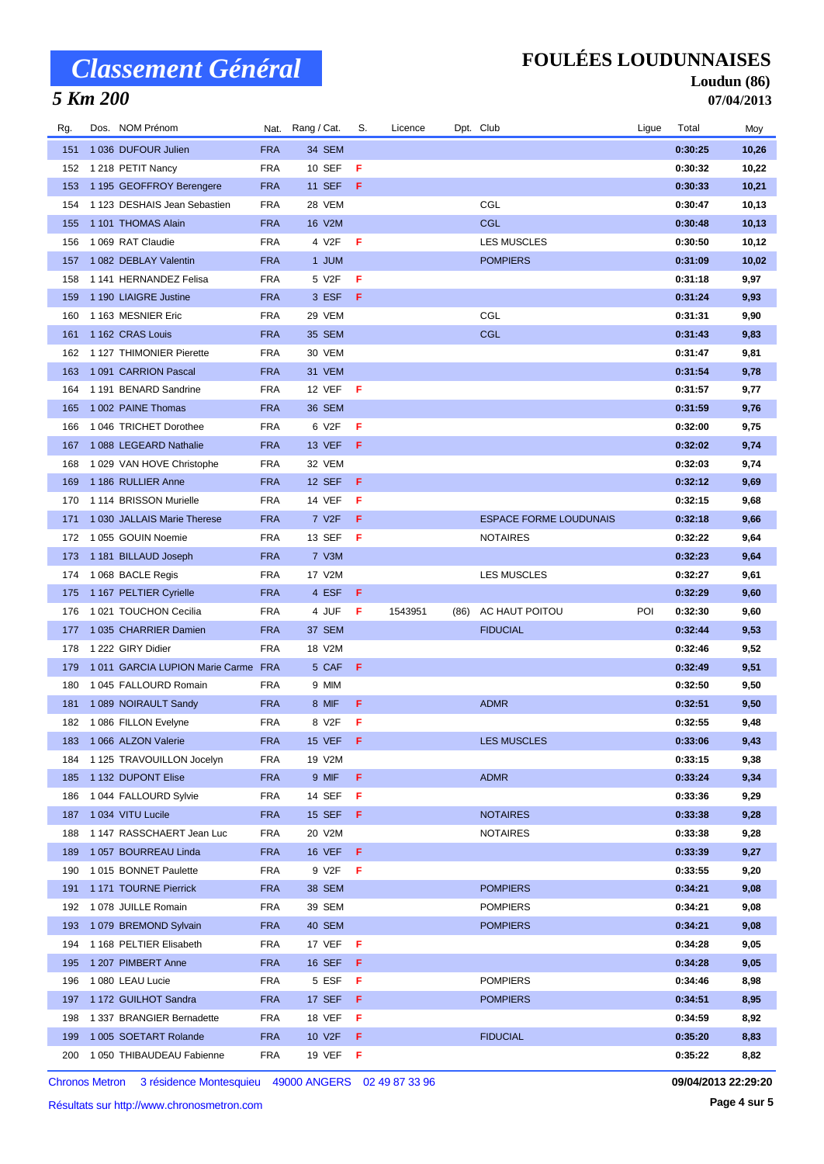## *5 Km 200*

### **FOULÉES LOUDUNNAISES**

### **Loudun (86) 07/04/2013**

| Rg. | Dos. NOM Prénom                    |                          | Nat. Rang / Cat.   | S. | Licence |      | Dpt. Club                     | Ligue | Total   | Moy          |
|-----|------------------------------------|--------------------------|--------------------|----|---------|------|-------------------------------|-------|---------|--------------|
| 151 | 1 036 DUFOUR Julien                | <b>FRA</b>               | 34 SEM             |    |         |      |                               |       | 0:30:25 | 10,26        |
| 152 | 1 218 PETIT Nancy                  | <b>FRA</b>               | 10 SEF             | F  |         |      |                               |       | 0:30:32 | 10,22        |
| 153 | 1 195 GEOFFROY Berengere           | <b>FRA</b>               | <b>11 SEF</b>      | F. |         |      |                               |       | 0:30:33 | 10,21        |
| 154 | 1 123 DESHAIS Jean Sebastien       | <b>FRA</b>               | 28 VEM             |    |         |      | CGL                           |       | 0:30:47 | 10,13        |
| 155 | 1 101 THOMAS Alain                 | <b>FRA</b>               | 16 V2M             |    |         |      | <b>CGL</b>                    |       | 0:30:48 | 10,13        |
| 156 | 1 069 RAT Claudie                  | <b>FRA</b>               | 4 V2F              | F  |         |      | <b>LES MUSCLES</b>            |       | 0:30:50 | 10,12        |
| 157 | 1 082 DEBLAY Valentin              | <b>FRA</b>               | 1 JUM              |    |         |      | <b>POMPIERS</b>               |       | 0:31:09 | 10,02        |
| 158 | 1 141 HERNANDEZ Felisa             | <b>FRA</b>               | 5 V2F              | F  |         |      |                               |       | 0:31:18 | 9,97         |
| 159 | 1 190 LIAIGRE Justine              | <b>FRA</b>               | 3 ESF              | F  |         |      |                               |       | 0:31:24 | 9,93         |
| 160 | 1 163 MESNIER Eric                 | <b>FRA</b>               | 29 VEM             |    |         |      | CGL                           |       | 0:31:31 | 9,90         |
| 161 | 1 162 CRAS Louis                   | <b>FRA</b>               | 35 SEM             |    |         |      | <b>CGL</b>                    |       | 0:31:43 | 9,83         |
| 162 | 1 127 THIMONIER Pierette           | <b>FRA</b>               | 30 VEM             |    |         |      |                               |       | 0:31:47 | 9,81         |
| 163 | 1 091 CARRION Pascal               | <b>FRA</b>               | 31 VEM             |    |         |      |                               |       | 0:31:54 | 9,78         |
| 164 | 1 191 BENARD Sandrine              | <b>FRA</b>               | 12 VEF             | F  |         |      |                               |       | 0:31:57 | 9,77         |
| 165 | 1 002 PAINE Thomas                 | <b>FRA</b>               | 36 SEM             |    |         |      |                               |       | 0:31:59 | 9,76         |
| 166 | 1046 TRICHET Dorothee              | <b>FRA</b>               | 6 V2F              | F  |         |      |                               |       | 0:32:00 | 9,75         |
| 167 | 1088 LEGEARD Nathalie              | <b>FRA</b>               | <b>13 VEF</b>      | F. |         |      |                               |       | 0:32:02 | 9,74         |
| 168 | 1 029 VAN HOVE Christophe          | <b>FRA</b>               | 32 VEM             |    |         |      |                               |       | 0:32:03 | 9,74         |
| 169 | 1186 RULLIER Anne                  | <b>FRA</b>               | 12 SEF             | F  |         |      |                               |       | 0:32:12 | 9,69         |
| 170 | 1 114 BRISSON Murielle             | <b>FRA</b>               | <b>14 VEF</b>      | F  |         |      |                               |       | 0:32:15 | 9,68         |
| 171 | 1 030 JALLAIS Marie Therese        | <b>FRA</b>               | 7 V <sub>2</sub> F | F  |         |      | <b>ESPACE FORME LOUDUNAIS</b> |       | 0:32:18 | 9,66         |
| 172 | 1055 GOUIN Noemie                  | <b>FRA</b>               | 13 SEF             | F  |         |      | <b>NOTAIRES</b>               |       | 0:32:22 | 9,64         |
| 173 | 1 181 BILLAUD Joseph               | <b>FRA</b>               | 7 V3M              |    |         |      |                               |       | 0:32:23 | 9,64         |
| 174 | 1068 BACLE Regis                   | <b>FRA</b>               | 17 V2M             |    |         |      | <b>LES MUSCLES</b>            |       | 0:32:27 | 9,61         |
| 175 | 1 167 PELTIER Cyrielle             | <b>FRA</b>               | 4 ESF              | F. |         |      |                               |       | 0:32:29 | 9,60         |
| 176 | 1021 TOUCHON Cecilia               | <b>FRA</b>               | 4 JUF              | F  | 1543951 | (86) | AC HAUT POITOU                | POI   | 0:32:30 | 9,60         |
| 177 | 1 035 CHARRIER Damien              | <b>FRA</b>               | 37 SEM             |    |         |      | <b>FIDUCIAL</b>               |       | 0:32:44 | 9,53         |
| 178 | 1 222 GIRY Didier                  | <b>FRA</b>               | 18 V2M             |    |         |      |                               |       | 0:32:46 | 9,52         |
| 179 | 1011 GARCIA LUPION Marie Carme FRA |                          | 5 CAF              | F  |         |      |                               |       | 0:32:49 | 9,51         |
| 180 | 1 045 FALLOURD Romain              | FRA                      | 9 MIM              |    |         |      |                               |       | 0:32:50 | 9,50         |
| 181 | 1089 NOIRAULT Sandy                | <b>FRA</b>               | 8 MIF              | F  |         |      | <b>ADMR</b>                   |       | 0:32:51 | 9,50         |
| 182 | 1 086 FILLON Evelyne               | <b>FRA</b>               | 8 V2F              | F  |         |      |                               |       | 0:32:55 | 9,48         |
| 183 | 1 066 ALZON Valerie                | <b>FRA</b>               | 15 VEF             | F  |         |      | <b>LES MUSCLES</b>            |       | 0:33:06 | 9,43         |
| 184 | 1 125 TRAVOUILLON Jocelyn          | <b>FRA</b>               | 19 V2M             |    |         |      |                               |       | 0:33:15 | 9,38         |
| 185 | 1 132 DUPONT Elise                 | <b>FRA</b>               | 9 MIF              | F. |         |      | <b>ADMR</b>                   |       | 0:33:24 | 9,34         |
| 186 | 1 044 FALLOURD Sylvie              | <b>FRA</b>               | 14 SEF             | F  |         |      |                               |       | 0:33:36 | 9,29         |
| 187 | 1 034 VITU Lucile                  | <b>FRA</b>               | 15 SEF             | F. |         |      | <b>NOTAIRES</b>               |       | 0:33:38 | 9,28         |
| 188 | 1 147 RASSCHAERT Jean Luc          | <b>FRA</b>               | 20 V2M             |    |         |      | <b>NOTAIRES</b>               |       | 0:33:38 | 9,28         |
| 189 | 1057 BOURREAU Linda                | <b>FRA</b>               | <b>16 VEF</b>      | F. |         |      |                               |       | 0:33:39 | 9,27         |
| 190 | 1015 BONNET Paulette               | <b>FRA</b>               | 9 V2F              | F  |         |      |                               |       | 0:33:55 | 9,20         |
| 191 | 1171 TOURNE Pierrick               | <b>FRA</b>               | 38 SEM             |    |         |      | <b>POMPIERS</b>               |       | 0:34:21 | 9,08         |
| 192 | 1 078 JUILLE Romain                | <b>FRA</b>               | 39 SEM             |    |         |      | <b>POMPIERS</b>               |       | 0:34:21 | 9,08         |
| 193 | 1079 BREMOND Sylvain               | <b>FRA</b>               | 40 SEM             |    |         |      | <b>POMPIERS</b>               |       | 0:34:21 | 9,08         |
| 194 | 1 168 PELTIER Elisabeth            | <b>FRA</b>               | 17 VEF             | F  |         |      |                               |       | 0:34:28 | 9,05         |
|     |                                    | <b>FRA</b>               | <b>16 SEF</b>      | F. |         |      |                               |       | 0:34:28 | 9,05         |
| 195 | 1 207 PIMBERT Anne                 |                          |                    |    |         |      |                               |       |         |              |
| 196 | 1 080 LEAU Lucie                   | <b>FRA</b>               | 5 ESF              | F  |         |      | <b>POMPIERS</b>               |       | 0:34:46 | 8,98         |
| 197 | 1 172 GUILHOT Sandra               | <b>FRA</b>               | 17 SEF             | F. |         |      | <b>POMPIERS</b>               |       | 0:34:51 | 8,95         |
| 198 | 1 337 BRANGIER Bernadette          | <b>FRA</b>               | 18 VEF             | F. |         |      |                               |       | 0:34:59 | 8,92         |
| 199 | 1 005 SOETART Rolande              | <b>FRA</b><br><b>FRA</b> | 10 V2F             | F. |         |      | <b>FIDUCIAL</b>               |       | 0:35:20 | 8,83<br>8,82 |